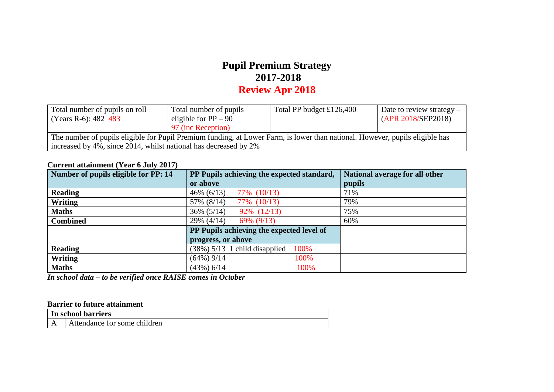# **Pupil Premium Strategy 2017-2018**

# **Review Apr 2018**

| Total number of pupils on roll                                                                                               | Total number of pupils | Total PP budget $£126,400$ | Date to review strategy $-$ |  |  |
|------------------------------------------------------------------------------------------------------------------------------|------------------------|----------------------------|-----------------------------|--|--|
| $(Xears R-6): 482, 483$                                                                                                      | eligible for $PP - 90$ |                            | (APR 2018/SEP2018)          |  |  |
|                                                                                                                              | 97 (inc Reception)     |                            |                             |  |  |
| The number of pupils eligible for Pupil Premium funding, at Lower Farm, is lower than national. However, pupils eligible has |                        |                            |                             |  |  |
| increased by 4%, since 2014, whilst national has decreased by 2%                                                             |                        |                            |                             |  |  |

## **Current attainment (Year 6 July 2017)**

| Number of pupils eligible for PP: 14 | PP Pupils achieving the expected standard, | National average for all other |
|--------------------------------------|--------------------------------------------|--------------------------------|
|                                      | or above                                   | <b>pupils</b>                  |
| <b>Reading</b>                       | $46\% (6/13)$<br>77% (10/13)               | 71%                            |
| Writing                              | 77% (10/13)<br>57% (8/14)                  | 79%                            |
| <b>Maths</b>                         | 92% (12/13)<br>$36\% (5/14)$               | 75%                            |
| <b>Combined</b>                      | $29\%$ (4/14)<br>$69\%$ $(9/13)$           | 60%                            |
|                                      | PP Pupils achieving the expected level of  |                                |
|                                      | progress, or above                         |                                |
| <b>Reading</b>                       | $(38\%)$ 5/13 1 child disapplied<br>100%   |                                |
| Writing                              | $(64\%)$ 9/14<br>100%                      |                                |
| <b>Maths</b>                         | $(43\%)$ 6/14<br>100%                      |                                |

*In school data – to be verified once RAISE comes in October*

#### **Barrier to future attainment**

| In school barriers           |
|------------------------------|
| Attendance for some children |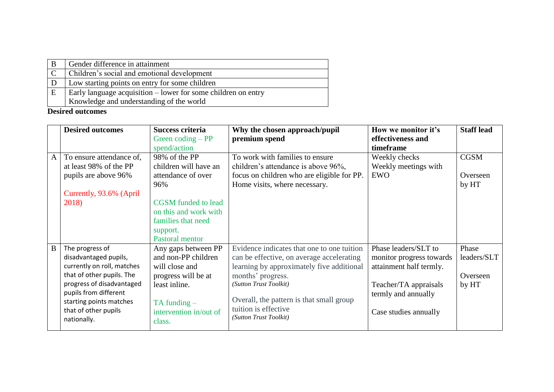|   | Gender difference in attainment                                 |
|---|-----------------------------------------------------------------|
|   | Children's social and emotional development                     |
|   | Low starting points on entry for some children                  |
| Е | Early language acquisition $-$ lower for some children on entry |
|   | Knowledge and understanding of the world                        |

### **Desired outcomes**

|              | <b>Desired outcomes</b>    | Success criteria           | Why the chosen approach/pupil              | How we monitor it's      | <b>Staff lead</b> |
|--------------|----------------------------|----------------------------|--------------------------------------------|--------------------------|-------------------|
|              |                            | Green coding $-PP$         | premium spend                              | effectiveness and        |                   |
|              |                            | spend/action               |                                            | timeframe                |                   |
| $\mathbf{A}$ | To ensure attendance of,   | 98% of the PP              | To work with families to ensure            | Weekly checks            | <b>CGSM</b>       |
|              | at least 98% of the PP     | children will have an      | children's attendance is above 96%,        | Weekly meetings with     |                   |
|              | pupils are above 96%       | attendance of over         | focus on children who are eligible for PP. | EWO                      | Overseen          |
|              |                            | 96%                        | Home visits, where necessary.              |                          | by HT             |
|              | Currently, 93.6% (April)   |                            |                                            |                          |                   |
|              | 2018)                      | <b>CGSM</b> funded to lead |                                            |                          |                   |
|              |                            | on this and work with      |                                            |                          |                   |
|              |                            | families that need         |                                            |                          |                   |
|              |                            | support.                   |                                            |                          |                   |
|              |                            | Pastoral mentor            |                                            |                          |                   |
| B            | The progress of            | Any gaps between PP        | Evidence indicates that one to one tuition | Phase leaders/SLT to     | Phase             |
|              | disadvantaged pupils,      | and non-PP children        | can be effective, on average accelerating  | monitor progress towards | leaders/SLT       |
|              | currently on roll, matches | will close and             | learning by approximately five additional  | attainment half termly.  |                   |
|              | that of other pupils. The  | progress will be at        | months' progress.                          |                          | Overseen          |
|              | progress of disadvantaged  | least inline.              | (Sutton Trust Toolkit)                     | Teacher/TA appraisals    | by HT             |
|              | pupils from different      |                            |                                            | termly and annually      |                   |
|              | starting points matches    | $TA$ funding $-$           | Overall, the pattern is that small group   |                          |                   |
|              | that of other pupils       | intervention in/out of     | tuition is effective                       | Case studies annually    |                   |
|              | nationally.                | class.                     | (Sutton Trust Toolkit)                     |                          |                   |
|              |                            |                            |                                            |                          |                   |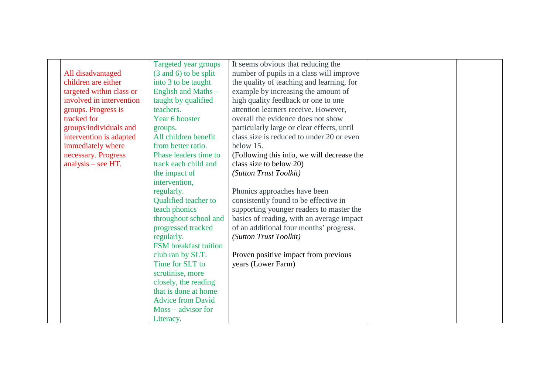|                          | Targeted year groups             | It seems obvious that reducing the         |  |
|--------------------------|----------------------------------|--------------------------------------------|--|
| All disadvantaged        | $(3 \text{ and } 6)$ to be split | number of pupils in a class will improve   |  |
| children are either      | into 3 to be taught              | the quality of teaching and learning, for  |  |
| targeted within class or | English and Maths -              | example by increasing the amount of        |  |
| involved in intervention | taught by qualified              | high quality feedback or one to one        |  |
| groups. Progress is      | teachers.                        | attention learners receive. However,       |  |
| tracked for              | Year 6 booster                   | overall the evidence does not show         |  |
| groups/individuals and   | groups.                          | particularly large or clear effects, until |  |
| intervention is adapted  | All children benefit             | class size is reduced to under 20 or even  |  |
| immediately where        | from better ratio.               | below 15.                                  |  |
| necessary. Progress      | Phase leaders time to            | (Following this info, we will decrease the |  |
| analysis – see $HT$ .    | track each child and             | class size to below 20)                    |  |
|                          | the impact of                    | (Sutton Trust Toolkit)                     |  |
|                          | intervention,                    |                                            |  |
|                          | regularly.                       | Phonics approaches have been               |  |
|                          | Qualified teacher to             | consistently found to be effective in      |  |
|                          | teach phonics                    | supporting younger readers to master the   |  |
|                          | throughout school and            | basics of reading, with an average impact  |  |
|                          | progressed tracked               | of an additional four months' progress.    |  |
|                          | regularly.                       | (Sutton Trust Toolkit)                     |  |
|                          | <b>FSM</b> breakfast tuition     |                                            |  |
|                          | club ran by SLT.                 | Proven positive impact from previous       |  |
|                          | Time for SLT to                  | years (Lower Farm)                         |  |
|                          | scrutinise, more                 |                                            |  |
|                          | closely, the reading             |                                            |  |
|                          | that is done at home             |                                            |  |
|                          | <b>Advice from David</b>         |                                            |  |
|                          | $M$ oss – advisor for            |                                            |  |
|                          | Literacy.                        |                                            |  |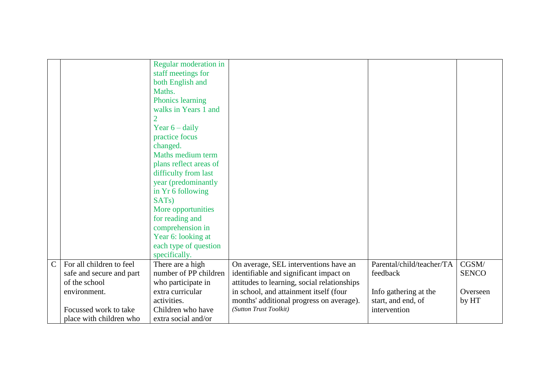|               |                          | Regular moderation in                     |                                             |                           |              |
|---------------|--------------------------|-------------------------------------------|---------------------------------------------|---------------------------|--------------|
|               |                          | staff meetings for                        |                                             |                           |              |
|               |                          | both English and                          |                                             |                           |              |
|               |                          | Maths.                                    |                                             |                           |              |
|               |                          | Phonics learning                          |                                             |                           |              |
|               |                          | walks in Years 1 and                      |                                             |                           |              |
|               |                          |                                           |                                             |                           |              |
|               |                          | Year $6 -$ daily                          |                                             |                           |              |
|               |                          | practice focus                            |                                             |                           |              |
|               |                          | changed.                                  |                                             |                           |              |
|               |                          | Maths medium term                         |                                             |                           |              |
|               |                          | plans reflect areas of                    |                                             |                           |              |
|               |                          | difficulty from last                      |                                             |                           |              |
|               |                          | year (predominantly                       |                                             |                           |              |
|               |                          | in Yr 6 following                         |                                             |                           |              |
|               |                          | SATs)                                     |                                             |                           |              |
|               |                          | More opportunities                        |                                             |                           |              |
|               |                          | for reading and                           |                                             |                           |              |
|               |                          | comprehension in                          |                                             |                           |              |
|               |                          | Year 6: looking at                        |                                             |                           |              |
|               |                          | each type of question                     |                                             |                           |              |
|               |                          |                                           |                                             |                           |              |
| $\mathcal{C}$ | For all children to feel | specifically.                             |                                             | Parental/child/teacher/TA | CGSM/        |
|               |                          | There are a high<br>number of PP children | On average, SEL interventions have an       |                           |              |
|               | safe and secure and part |                                           | identifiable and significant impact on      | feedback                  | <b>SENCO</b> |
|               | of the school            | who participate in                        | attitudes to learning, social relationships |                           |              |
|               | environment.             | extra curricular                          | in school, and attainment itself (four      | Info gathering at the     | Overseen     |
|               |                          | activities.                               | months' additional progress on average).    | start, and end, of        | by HT        |
|               | Focussed work to take    | Children who have                         | (Sutton Trust Toolkit)                      | intervention              |              |
|               | place with children who  | extra social and/or                       |                                             |                           |              |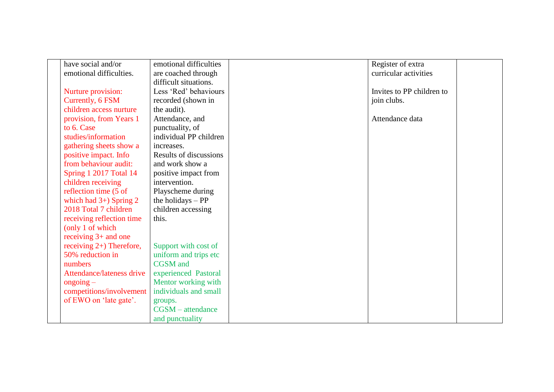| have social and/or          | emotional difficulties | Register of extra         |  |
|-----------------------------|------------------------|---------------------------|--|
| emotional difficulties.     | are coached through    | curricular activities     |  |
|                             | difficult situations.  |                           |  |
| Nurture provision:          | Less 'Red' behaviours  | Invites to PP children to |  |
| Currently, 6 FSM            | recorded (shown in     | join clubs.               |  |
| children access nurture     | the audit).            |                           |  |
| provision, from Years 1     | Attendance, and        | Attendance data           |  |
| to 6. Case                  | punctuality, of        |                           |  |
| studies/information         | individual PP children |                           |  |
| gathering sheets show a     | increases.             |                           |  |
| positive impact. Info       | Results of discussions |                           |  |
| from behaviour audit:       | and work show a        |                           |  |
| Spring 1 2017 Total 14      | positive impact from   |                           |  |
| children receiving          | intervention.          |                           |  |
| reflection time (5 of       | Playscheme during      |                           |  |
| which had $3+$ ) Spring 2   | the holidays $-PP$     |                           |  |
| 2018 Total 7 children       | children accessing     |                           |  |
| receiving reflection time   | this.                  |                           |  |
| (only 1 of which            |                        |                           |  |
| receiving $3+$ and one      |                        |                           |  |
| receiving $2+$ ) Therefore, | Support with cost of   |                           |  |
| 50% reduction in            | uniform and trips etc  |                           |  |
| numbers                     | <b>CGSM</b> and        |                           |  |
| Attendance/lateness drive   | experienced Pastoral   |                           |  |
| $ongoing -$                 | Mentor working with    |                           |  |
| competitions/involvement    | individuals and small  |                           |  |
| of EWO on 'late gate'.      | groups.                |                           |  |
|                             | $CGSM - attendance$    |                           |  |
|                             | and punctuality        |                           |  |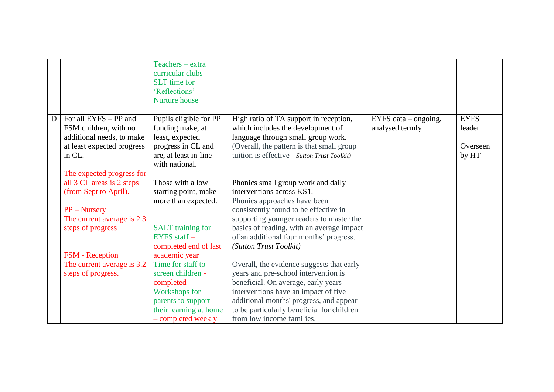|   |                                                                                                                                                      | $Teaches - extra$<br>curricular clubs<br><b>SLT</b> time for<br>'Reflections'<br>Nurture house                                                              |                                                                                                                                                                                                                                                                                                        |                                         |                                            |
|---|------------------------------------------------------------------------------------------------------------------------------------------------------|-------------------------------------------------------------------------------------------------------------------------------------------------------------|--------------------------------------------------------------------------------------------------------------------------------------------------------------------------------------------------------------------------------------------------------------------------------------------------------|-----------------------------------------|--------------------------------------------|
| D | For all EYFS - PP and<br>FSM children, with no<br>additional needs, to make<br>at least expected progress<br>in CL.                                  | Pupils eligible for PP<br>funding make, at<br>least, expected<br>progress in CL and<br>are, at least in-line<br>with national.                              | High ratio of TA support in reception,<br>which includes the development of<br>language through small group work.<br>(Overall, the pattern is that small group<br>tuition is effective - Sutton Trust Toolkit)                                                                                         | EYFS data – ongoing,<br>analysed termly | <b>EYFS</b><br>leader<br>Overseen<br>by HT |
|   | The expected progress for<br>all 3 CL areas is 2 steps<br>(from Sept to April).<br>$PP - Nursery$<br>The current average is 2.3<br>steps of progress | Those with a low<br>starting point, make<br>more than expected.<br><b>SALT</b> training for<br>$EYFS$ staff $-$<br>completed end of last                    | Phonics small group work and daily<br>interventions across KS1.<br>Phonics approaches have been<br>consistently found to be effective in<br>supporting younger readers to master the<br>basics of reading, with an average impact<br>of an additional four months' progress.<br>(Sutton Trust Toolkit) |                                         |                                            |
|   | <b>FSM</b> - Reception<br>The current average is 3.2<br>steps of progress.                                                                           | academic year<br>Time for staff to<br>screen children -<br>completed<br>Workshops for<br>parents to support<br>their learning at home<br>- completed weekly | Overall, the evidence suggests that early<br>years and pre-school intervention is<br>beneficial. On average, early years<br>interventions have an impact of five<br>additional months' progress, and appear<br>to be particularly beneficial for children<br>from low income families.                 |                                         |                                            |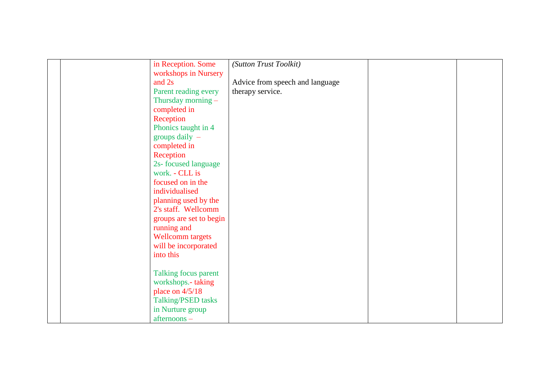|  | in Reception. Some        | (Sutton Trust Toolkit)          |  |
|--|---------------------------|---------------------------------|--|
|  | workshops in Nursery      |                                 |  |
|  | and 2s                    | Advice from speech and language |  |
|  | Parent reading every      | therapy service.                |  |
|  | Thursday morning -        |                                 |  |
|  | completed in              |                                 |  |
|  | Reception                 |                                 |  |
|  | Phonics taught in 4       |                                 |  |
|  | groups daily $-$          |                                 |  |
|  | completed in              |                                 |  |
|  | Reception                 |                                 |  |
|  | 2s- focused language      |                                 |  |
|  | work. - CLL is            |                                 |  |
|  | focused on in the         |                                 |  |
|  | individualised            |                                 |  |
|  | planning used by the      |                                 |  |
|  | 2's staff. Wellcomm       |                                 |  |
|  | groups are set to begin   |                                 |  |
|  | running and               |                                 |  |
|  | <b>Wellcomm</b> targets   |                                 |  |
|  | will be incorporated      |                                 |  |
|  | into this                 |                                 |  |
|  |                           |                                 |  |
|  | Talking focus parent      |                                 |  |
|  | workshops.-taking         |                                 |  |
|  | place on $4/5/18$         |                                 |  |
|  | <b>Talking/PSED tasks</b> |                                 |  |
|  | in Nurture group          |                                 |  |
|  | afternoons-               |                                 |  |
|  |                           |                                 |  |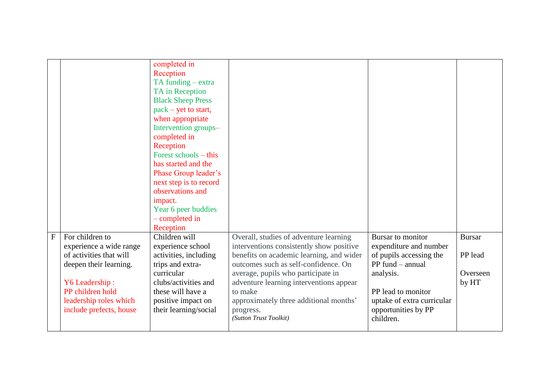|             |                         | completed in<br>Reception<br>TA funding – extra<br>TA in Reception<br><b>Black Sheep Press</b><br>$pack - yet to start,$<br>when appropriate<br>Intervention groups-<br>completed in<br>Reception<br>Forest schools $-$ this<br>has started and the<br>Phase Group leader's<br>next step is to record<br>observations and<br>impact.<br>Year 6 peer buddies<br>- completed in<br>Reception |                                                                            |                                   |               |
|-------------|-------------------------|--------------------------------------------------------------------------------------------------------------------------------------------------------------------------------------------------------------------------------------------------------------------------------------------------------------------------------------------------------------------------------------------|----------------------------------------------------------------------------|-----------------------------------|---------------|
| $\mathbf F$ | For children to         | Children will                                                                                                                                                                                                                                                                                                                                                                              | Overall, studies of adventure learning                                     | Bursar to monitor                 | <b>Bursar</b> |
|             | experience a wide range | experience school                                                                                                                                                                                                                                                                                                                                                                          | interventions consistently show positive                                   | expenditure and number            |               |
|             | of activities that will | activities, including                                                                                                                                                                                                                                                                                                                                                                      | benefits on academic learning, and wider                                   | of pupils accessing the           | PP lead       |
|             | deepen their learning.  | trips and extra-<br>curricular                                                                                                                                                                                                                                                                                                                                                             | outcomes such as self-confidence. On<br>average, pupils who participate in | $PP$ fund $-$ annual<br>analysis. | Overseen      |
|             | Y6 Leadership:          | clubs/activities and                                                                                                                                                                                                                                                                                                                                                                       | adventure learning interventions appear                                    |                                   | by HT         |
|             | PP children hold        | these will have a                                                                                                                                                                                                                                                                                                                                                                          | to make                                                                    | PP lead to monitor                |               |
|             | leadership roles which  | positive impact on                                                                                                                                                                                                                                                                                                                                                                         | approximately three additional months'                                     | uptake of extra curricular        |               |
|             | include prefects, house | their learning/social                                                                                                                                                                                                                                                                                                                                                                      | progress.                                                                  | opportunities by PP               |               |
|             |                         |                                                                                                                                                                                                                                                                                                                                                                                            | (Sutton Trust Toolkit)                                                     | children.                         |               |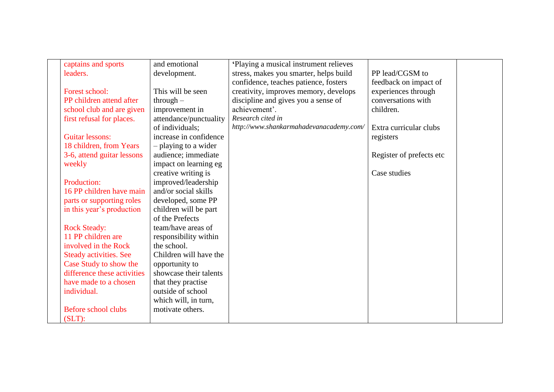| captains and sports           | and emotional          | 'Playing a musical instrument relieves  |                          |  |
|-------------------------------|------------------------|-----------------------------------------|--------------------------|--|
| leaders.                      | development.           | stress, makes you smarter, helps build  | PP lead/CGSM to          |  |
|                               |                        | confidence, teaches patience, fosters   | feedback on impact of    |  |
| Forest school:                | This will be seen      | creativity, improves memory, develops   | experiences through      |  |
| PP children attend after      | $through -$            | discipline and gives you a sense of     | conversations with       |  |
| school club and are given     | improvement in         | achievement'.                           | children.                |  |
| first refusal for places.     | attendance/punctuality | Research cited in                       |                          |  |
|                               | of individuals;        | http://www.shankarmahadevanacademy.com/ | Extra curricular clubs   |  |
| <b>Guitar lessons:</b>        | increase in confidence |                                         | registers                |  |
| 18 children, from Years       | - playing to a wider   |                                         |                          |  |
| 3-6, attend guitar lessons    | audience; immediate    |                                         | Register of prefects etc |  |
| weekly                        | impact on learning eg  |                                         |                          |  |
|                               | creative writing is    |                                         | Case studies             |  |
| Production:                   | improved/leadership    |                                         |                          |  |
| 16 PP children have main      | and/or social skills   |                                         |                          |  |
| parts or supporting roles     | developed, some PP     |                                         |                          |  |
| in this year's production     | children will be part  |                                         |                          |  |
|                               | of the Prefects        |                                         |                          |  |
| <b>Rock Steady:</b>           | team/have areas of     |                                         |                          |  |
| 11 PP children are            | responsibility within  |                                         |                          |  |
| involved in the Rock          | the school.            |                                         |                          |  |
| <b>Steady activities. See</b> | Children will have the |                                         |                          |  |
| Case Study to show the        | opportunity to         |                                         |                          |  |
| difference these activities   | showcase their talents |                                         |                          |  |
| have made to a chosen         | that they practise     |                                         |                          |  |
| individual.                   | outside of school      |                                         |                          |  |
|                               | which will, in turn,   |                                         |                          |  |
| Before school clubs           | motivate others.       |                                         |                          |  |
| $(SLT)$ :                     |                        |                                         |                          |  |